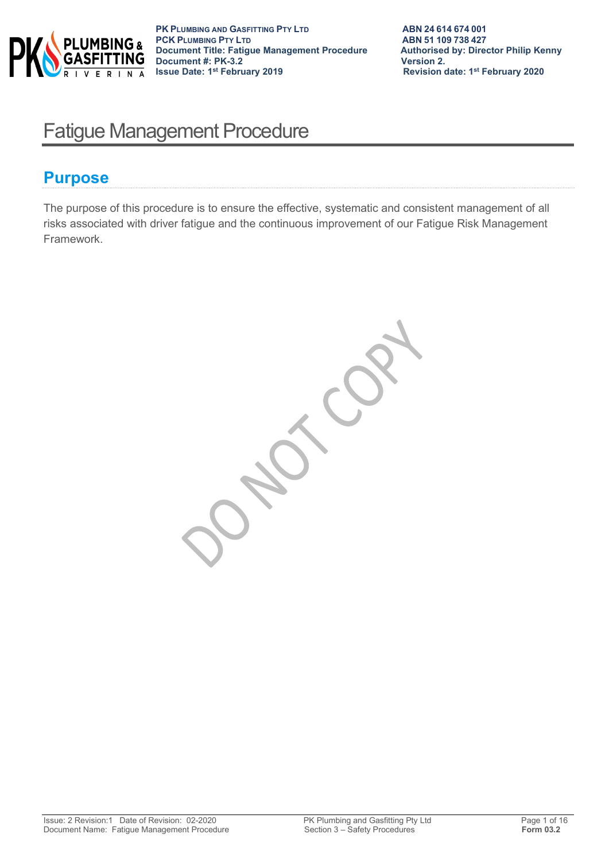

# Fatigue Management Procedure

# **Purpose**

The purpose of this procedure is to ensure the effective, systematic and consistent management of all risks associated with driver fatigue and the continuous improvement of our Fatigue Risk Management Framework.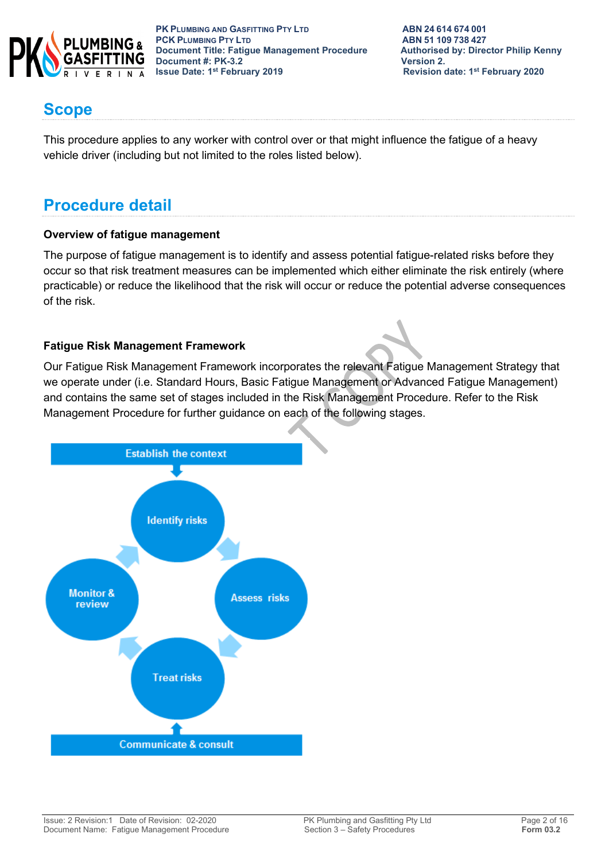

**PK PLUMBING AND GASFITTING PTY LTD ABN 24614674001<br>
<b>PCK PLUMBING PTY LTD ABN 51109738427 PCK PLUMBING PTY LTD**<br> **PCK PLUMBING PTY LTD**<br> **Document Title: Fatigue Management Procedure** Authorised by: Director Philip Kenny **Document Title: Fatigue Management Procedure 4: PK-3.2**<br>Document #: PK-3.2 **Document #: PK-3.2**<br>**Issue Date: 1<sup>st</sup> February 2019** 

**Revision date: 1st February 2020** 

# **Scope**

This procedure applies to any worker with control over or that might influence the fatigue of a heavy vehicle driver (including but not limited to the roles listed below).

# **Procedure detail**

## **Overview of fatigue management**

The purpose of fatigue management is to identify and assess potential fatigue-related risks before they occur so that risk treatment measures can be implemented which either eliminate the risk entirely (where practicable) or reduce the likelihood that the risk will occur or reduce the potential adverse consequences of the risk.

# **Fatigue Risk Management Framework**

Our Fatigue Risk Management Framework incorporates the relevant Fatigue Management Strategy that we operate under (i.e. Standard Hours, Basic Fatigue Management or Advanced Fatigue Management) and contains the same set of stages included in the Risk Management Procedure. Refer to the Risk Management Procedure for further guidance on each of the following stages.

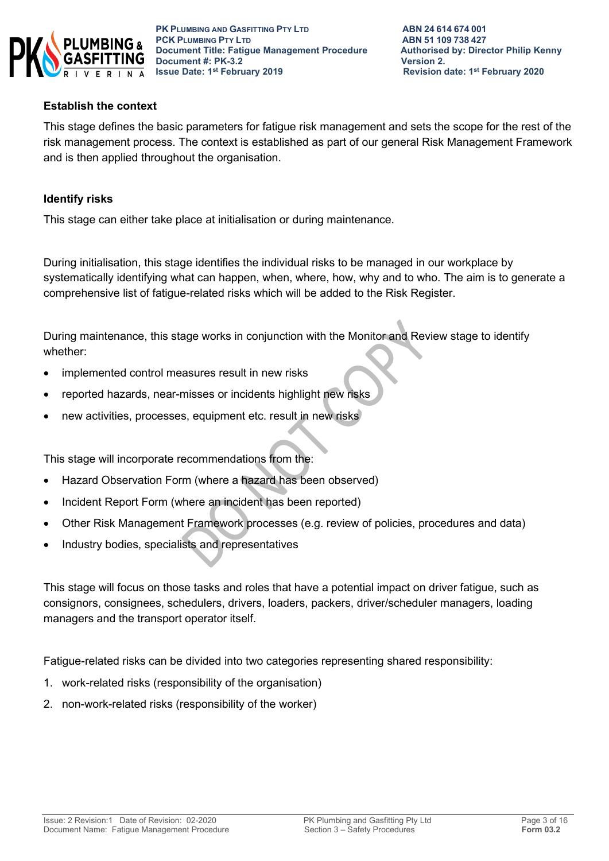

## **Establish the context**

This stage defines the basic parameters for fatigue risk management and sets the scope for the rest of the risk management process. The context is established as part of our general Risk Management Framework and is then applied throughout the organisation.

### **Identify risks**

This stage can either take place at initialisation or during maintenance.

During initialisation, this stage identifies the individual risks to be managed in our workplace by systematically identifying what can happen, when, where, how, why and to who. The aim is to generate a comprehensive list of fatigue-related risks which will be added to the Risk Register.

During maintenance, this stage works in conjunction with the Monitor and Review stage to identify whether:

- implemented control measures result in new risks
- reported hazards, near-misses or incidents highlight new risks
- hew activities, processes, equipment etc. result in new risks

This stage will incorporate recommendations from the:

- Hazard Observation Form (where a hazard has been observed)
- Incident Report Form (where an incident has been reported)
- Other Risk Management Framework processes (e.g. review of policies, procedures and data)
- Industry bodies, specialists and representatives

This stage will focus on those tasks and roles that have a potential impact on driver fatigue, such as consignors, consignees, schedulers, drivers, loaders, packers, driver/scheduler managers, loading managers and the transport operator itself.

Fatigue-related risks can be divided into two categories representing shared responsibility:

- 1. work-related risks (responsibility of the organisation)
- 2. non-work-related risks (responsibility of the worker)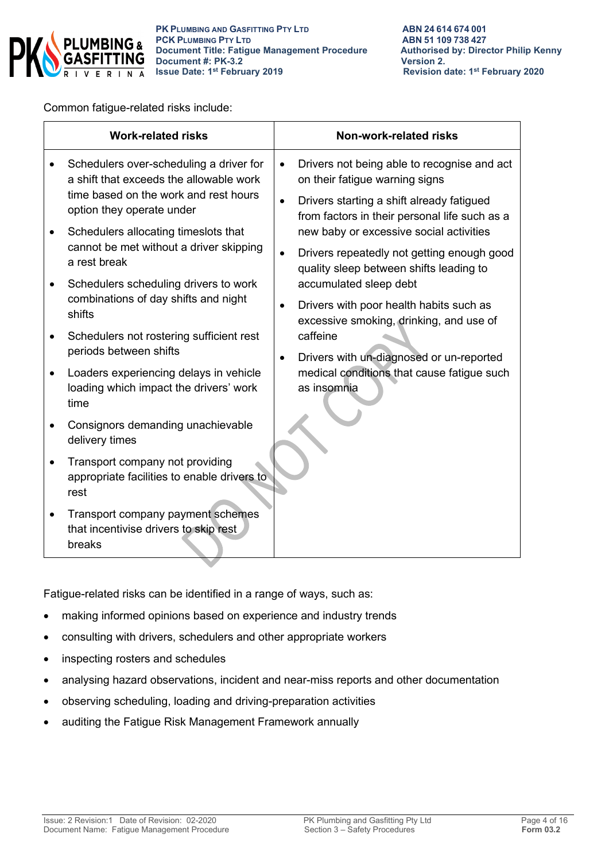

Common fatigue-related risks include:

| Schedulers over-scheduling a driver for<br>a shift that exceeds the allowable work<br>time based on the work and rest hours | Drivers not being able to recognise and act<br>$\bullet$<br>on their fatigue warning signs<br>Drivers starting a shift already fatigued<br>$\bullet$ |  |  |
|-----------------------------------------------------------------------------------------------------------------------------|------------------------------------------------------------------------------------------------------------------------------------------------------|--|--|
| option they operate under<br>Schedulers allocating timeslots that                                                           | from factors in their personal life such as a<br>new baby or excessive social activities                                                             |  |  |
| cannot be met without a driver skipping<br>a rest break                                                                     | Drivers repeatedly not getting enough good<br>quality sleep between shifts leading to                                                                |  |  |
| Schedulers scheduling drivers to work<br>combinations of day shifts and night<br>shifts                                     | accumulated sleep debt<br>Drivers with poor health habits such as<br>$\bullet$                                                                       |  |  |
| Schedulers not rostering sufficient rest<br>periods between shifts                                                          | excessive smoking, drinking, and use of<br>caffeine<br>Drivers with un-diagnosed or un-reported<br>$\bullet$                                         |  |  |
| Loaders experiencing delays in vehicle<br>$\bullet$<br>loading which impact the drivers' work<br>time                       | medical conditions that cause fatigue such<br>as insomnia                                                                                            |  |  |
| Consignors demanding unachievable<br>delivery times                                                                         |                                                                                                                                                      |  |  |
| Transport company not providing<br>appropriate facilities to enable drivers to<br>rest                                      |                                                                                                                                                      |  |  |
| Transport company payment schemes<br>that incentivise drivers to skip rest<br>breaks                                        |                                                                                                                                                      |  |  |

Fatigue-related risks can be identified in a range of ways, such as:

- making informed opinions based on experience and industry trends
- consulting with drivers, schedulers and other appropriate workers
- inspecting rosters and schedules
- analysing hazard observations, incident and near-miss reports and other documentation
- observing scheduling, loading and driving-preparation activities
- auditing the Fatigue Risk Management Framework annually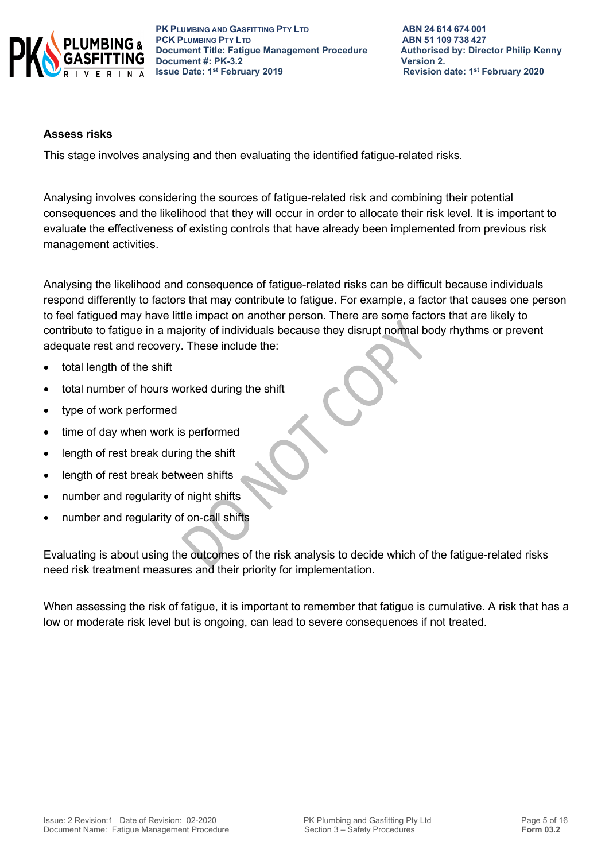

**PK PLUMBING AND GASFITTING PTY LTD ABN 24 614 674 001 PCK PLUMBING PTY LTD**<br> **PCK PLUMBING PTY LTD**<br> **Document Title: Fatigue Management Procedure** Authorised by: Director Philip Kenny **Document Title: Fatigue Management Procedure 4: PRILIP Authorised by: Director Philip Connect Authorised by: Director Philip Renally Renally Renally Renally Renally Renally Renally Renally Renally Renally Renally Renally Document #: PK-3.2**<br>**Issue Date: 1<sup>st</sup> February 2019** 

**Revision date: 1st February 2020** 

#### **Assess risks**

This stage involves analysing and then evaluating the identified fatigue-related risks.

Analysing involves considering the sources of fatigue-related risk and combining their potential consequences and the likelihood that they will occur in order to allocate their risk level. It is important to evaluate the effectiveness of existing controls that have already been implemented from previous risk management activities.

Analysing the likelihood and consequence of fatigue-related risks can be difficult because individuals respond differently to factors that may contribute to fatigue. For example, a factor that causes one person to feel fatigued may have little impact on another person. There are some factors that are likely to contribute to fatigue in a majority of individuals because they disrupt normal body rhythms or prevent adequate rest and recovery. These include the:

- total length of the shift
- total number of hours worked during the shift
- type of work performed
- time of day when work is performed
- length of rest break during the shift
- length of rest break between shifts
- number and regularity of night shifts
- number and regularity of on-call shifts

Evaluating is about using the outcomes of the risk analysis to decide which of the fatigue-related risks need risk treatment measures and their priority for implementation.

When assessing the risk of fatigue, it is important to remember that fatigue is cumulative. A risk that has a low or moderate risk level but is ongoing, can lead to severe consequences if not treated.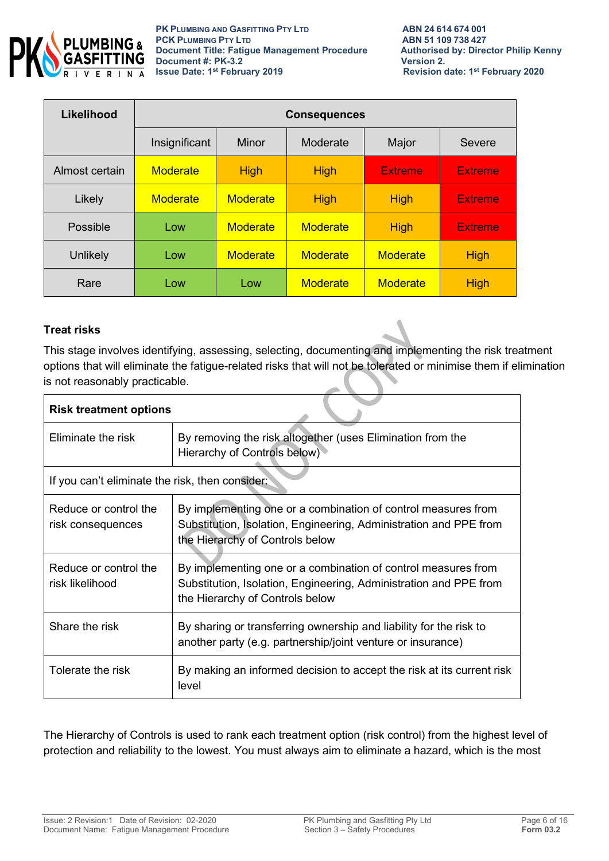

| Likelihood     | <b>Consequences</b> |                 |                 |                 |                |
|----------------|---------------------|-----------------|-----------------|-----------------|----------------|
|                | Insignificant       | Minor           | Moderate        | Major           | Severe         |
| Almost certain | <b>Moderate</b>     | <b>High</b>     | <b>High</b>     | <b>Extreme</b>  | <b>Extreme</b> |
| Likely         | <b>Moderate</b>     | <b>Moderate</b> | <b>High</b>     | <b>High</b>     | <b>Extreme</b> |
| Possible       | Low                 | <b>Moderate</b> | <b>Moderate</b> | <b>High</b>     | <b>Extreme</b> |
| Unlikely       | Low                 | <b>Moderate</b> | <b>Moderate</b> | <b>Moderate</b> | <b>High</b>    |
| Rare           | Low                 | Low             | <b>Moderate</b> | <b>Moderate</b> | <b>High</b>    |

## **Treat risks**

This stage involves identifying, assessing, selecting, documenting and implementing the risk treatment options that will eliminate the fatigue-related risks that will not be tolerated or minimise them if elimination is not reasonably practicable.

| <b>Risk treatment options</b>                   |                                                                                                                                                                       |  |
|-------------------------------------------------|-----------------------------------------------------------------------------------------------------------------------------------------------------------------------|--|
| Eliminate the risk                              | By removing the risk altogether (uses Elimination from the<br>Hierarchy of Controls below)                                                                            |  |
| If you can't eliminate the risk, then consider: |                                                                                                                                                                       |  |
| Reduce or control the<br>risk consequences      | By implementing one or a combination of control measures from<br>Substitution, Isolation, Engineering, Administration and PPE from<br>the Hierarchy of Controls below |  |
| Reduce or control the<br>risk likelihood        | By implementing one or a combination of control measures from<br>Substitution, Isolation, Engineering, Administration and PPE from<br>the Hierarchy of Controls below |  |
| Share the risk                                  | By sharing or transferring ownership and liability for the risk to<br>another party (e.g. partnership/joint venture or insurance)                                     |  |
| Tolerate the risk                               | By making an informed decision to accept the risk at its current risk<br>level                                                                                        |  |

The Hierarchy of Controls is used to rank each treatment option (risk control) from the highest level of protection and reliability to the lowest. You must always aim to eliminate a hazard, which is the most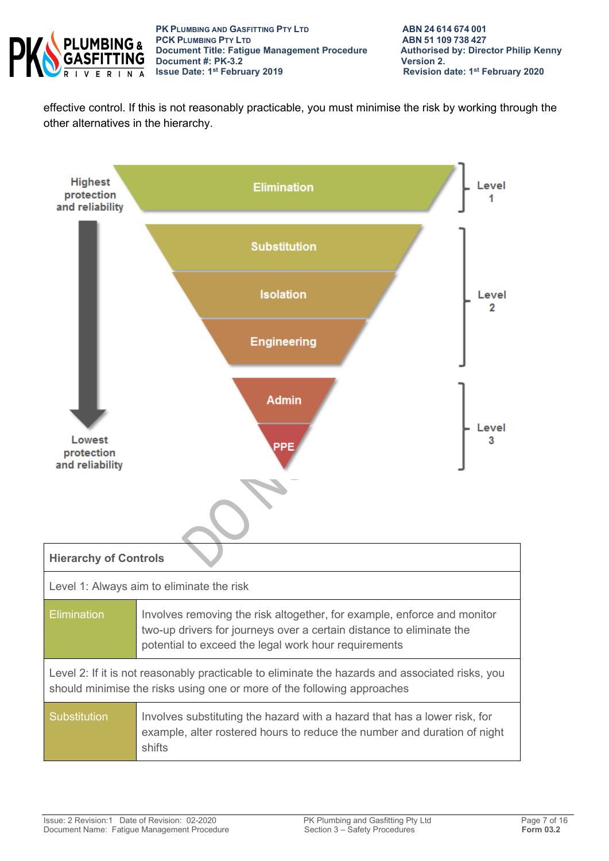

**PK PLUMBING AND GASFITTING PTY LTD**<br> **PCK PLUMBING PTY LTD**<br> **ABN 51 109 738 427 PCK PLUMBING PTY LTD**<br> **PCK PLUMBING PTY LTD**<br> **Document Title: Fatigue Management Procedure** Authorised by: Director Philip Kenny **Document Title: Fatigue Management Procedure Authorised Authorised by: Philip Renally Authorised Benny, Philip Renally Renally Renally Renally Renally Renally Renally Renally Renally Renally Renally Renally Renally Renall Document #: PK-3.2**<br>Issue Date: 1<sup>st</sup> February 2019

effective control. If this is not reasonably practicable, you must minimise the risk by working through the other alternatives in the hierarchy.

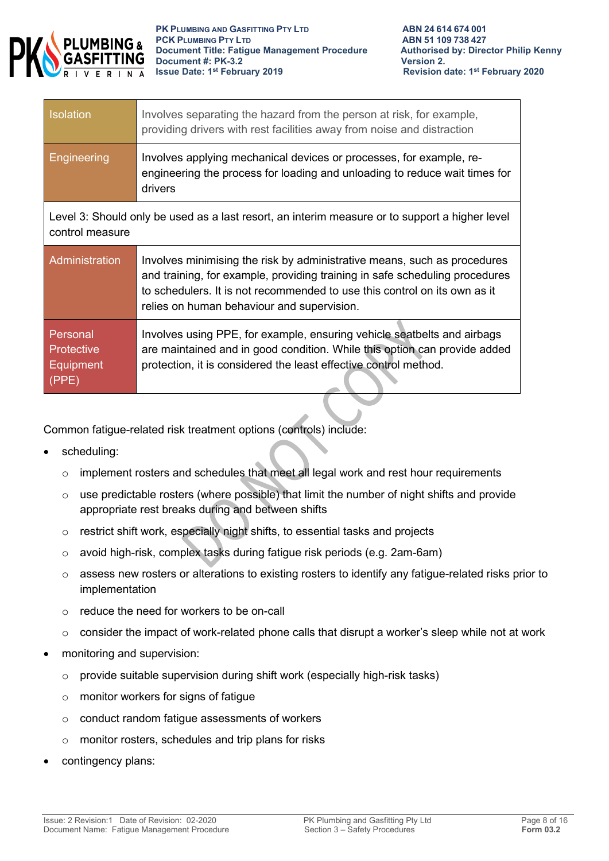

| <b>Isolation</b> | Involves separating the hazard from the person at risk, for example,<br>providing drivers with rest facilities away from noise and distraction               |
|------------------|--------------------------------------------------------------------------------------------------------------------------------------------------------------|
| Engineering      | Involves applying mechanical devices or processes, for example, re-<br>engineering the process for loading and unloading to reduce wait times for<br>drivers |

Level 3: Should only be used as a last resort, an interim measure or to support a higher level control measure

| Administration                                             | Involves minimising the risk by administrative means, such as procedures<br>and training, for example, providing training in safe scheduling procedures<br>to schedulers. It is not recommended to use this control on its own as it<br>relies on human behaviour and supervision. |
|------------------------------------------------------------|------------------------------------------------------------------------------------------------------------------------------------------------------------------------------------------------------------------------------------------------------------------------------------|
| Personal<br><b>Protective</b><br><b>Equipment</b><br>(PPE) | Involves using PPE, for example, ensuring vehicle seatbelts and airbags<br>are maintained and in good condition. While this option can provide added<br>protection, it is considered the least effective control method.                                                           |

Common fatigue-related risk treatment options (controls) include:

- scheduling:
	- $\circ$  implement rosters and schedules that meet all legal work and rest hour requirements
	- o use predictable rosters (where possible) that limit the number of night shifts and provide appropriate rest breaks during and between shifts
	- o restrict shift work, especially night shifts, to essential tasks and projects
	- o avoid high-risk, complex tasks during fatigue risk periods (e.g. 2am-6am)
	- $\circ$  assess new rosters or alterations to existing rosters to identify any fatigue-related risks prior to implementation
	- $\circ$  reduce the need for workers to be on-call
	- $\circ$  consider the impact of work-related phone calls that disrupt a worker's sleep while not at work
- monitoring and supervision:
	- o provide suitable supervision during shift work (especially high-risk tasks)
	- o monitor workers for signs of fatigue
	- o conduct random fatigue assessments of workers
	- o monitor rosters, schedules and trip plans for risks
- contingency plans: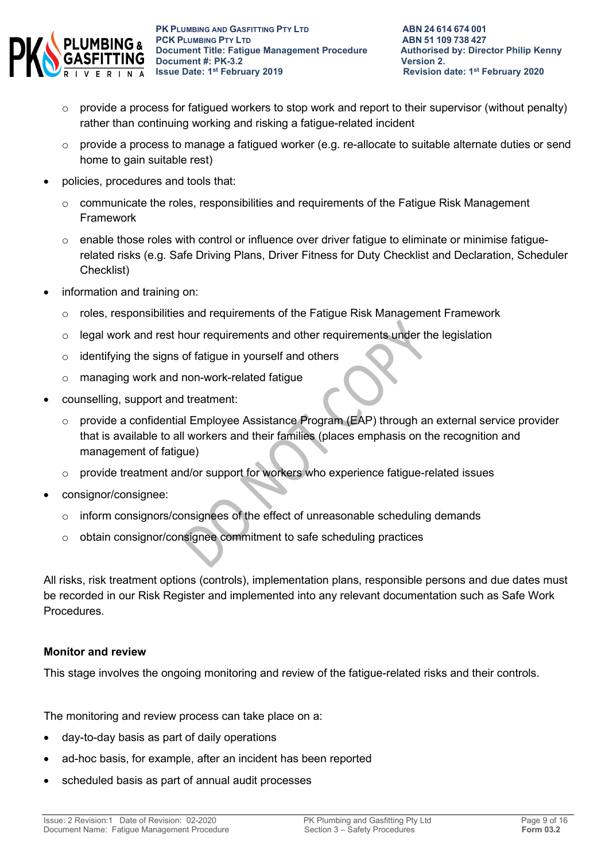

- $\circ$  provide a process for fatigued workers to stop work and report to their supervisor (without penalty) rather than continuing working and risking a fatigue-related incident
- o provide a process to manage a fatigued worker (e.g. re-allocate to suitable alternate duties or send home to gain suitable rest)
- policies, procedures and tools that:
	- $\circ$  communicate the roles, responsibilities and requirements of the Fatigue Risk Management Framework
	- o enable those roles with control or influence over driver fatigue to eliminate or minimise fatiguerelated risks (e.g. Safe Driving Plans, Driver Fitness for Duty Checklist and Declaration, Scheduler Checklist)
- information and training on:
	- o roles, responsibilities and requirements of the Fatigue Risk Management Framework
	- $\circ$  legal work and rest hour requirements and other requirements under the legislation
	- o identifying the signs of fatigue in yourself and others
	- o managing work and non-work-related fatigue
- counselling, support and treatment:
	- o provide a confidential Employee Assistance Program (EAP) through an external service provider that is available to all workers and their families (places emphasis on the recognition and management of fatigue)
	- o provide treatment and/or support for workers who experience fatigue-related issues
- consignor/consignee:
	- o inform consignors/consignees of the effect of unreasonable scheduling demands
	- o obtain consignor/consignee commitment to safe scheduling practices

All risks, risk treatment options (controls), implementation plans, responsible persons and due dates must be recorded in our Risk Register and implemented into any relevant documentation such as Safe Work Procedures.

## **Monitor and review**

This stage involves the ongoing monitoring and review of the fatigue-related risks and their controls.

The monitoring and review process can take place on a:

- day-to-day basis as part of daily operations
- ad-hoc basis, for example, after an incident has been reported
- scheduled basis as part of annual audit processes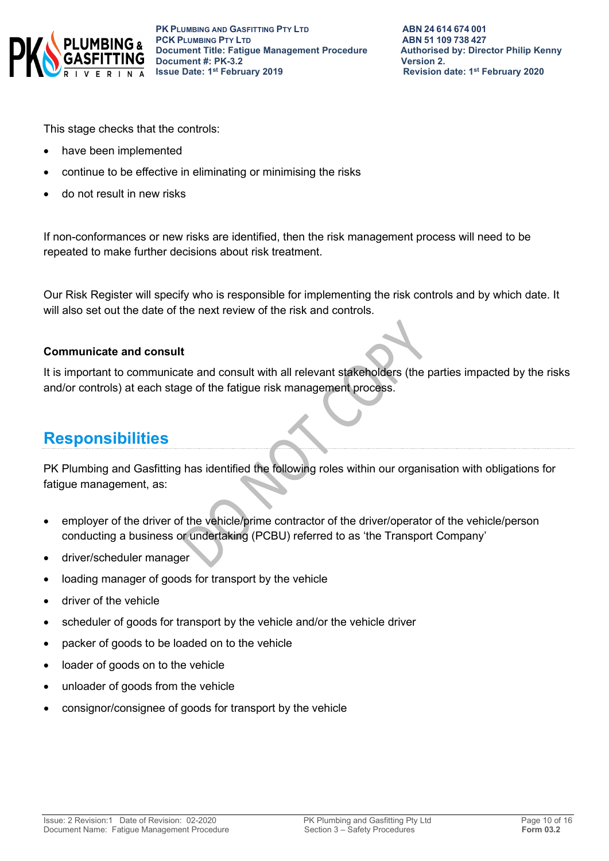

This stage checks that the controls:

- have been implemented
- continue to be effective in eliminating or minimising the risks
- do not result in new risks

If non-conformances or new risks are identified, then the risk management process will need to be repeated to make further decisions about risk treatment.

Our Risk Register will specify who is responsible for implementing the risk controls and by which date. It will also set out the date of the next review of the risk and controls.

#### **Communicate and consult**

It is important to communicate and consult with all relevant stakeholders (the parties impacted by the risks and/or controls) at each stage of the fatigue risk management process.

# **Responsibilities**

PK Plumbing and Gasfitting has identified the following roles within our organisation with obligations for fatigue management, as:

- employer of the driver of the vehicle/prime contractor of the driver/operator of the vehicle/person conducting a business or undertaking (PCBU) referred to as 'the Transport Company'
- driver/scheduler manager
- loading manager of goods for transport by the vehicle
- driver of the vehicle
- scheduler of goods for transport by the vehicle and/or the vehicle driver
- packer of goods to be loaded on to the vehicle
- loader of goods on to the vehicle
- unloader of goods from the vehicle
- consignor/consignee of goods for transport by the vehicle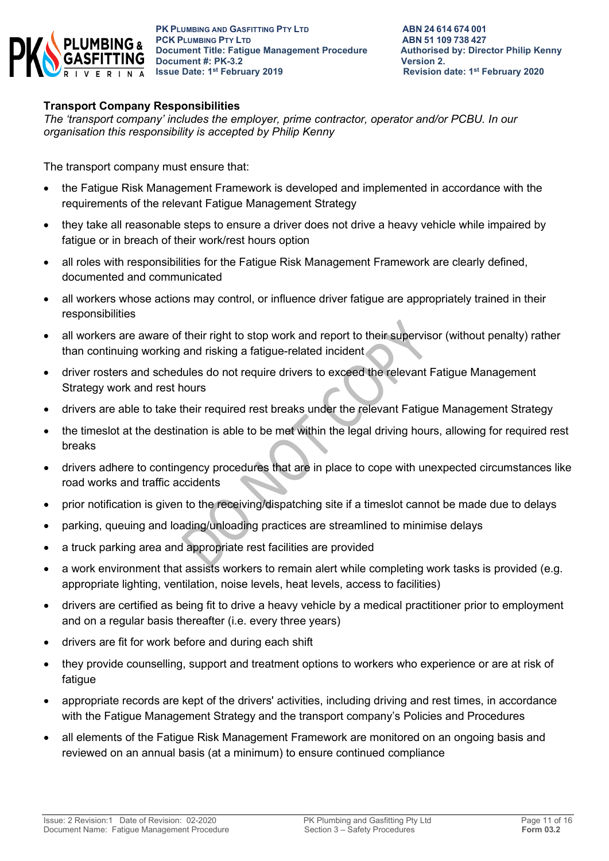

## **Transport Company Responsibilities**

*The 'transport company' includes the employer, prime contractor, operator and/or PCBU. In our organisation this responsibility is accepted by Philip Kenny*

The transport company must ensure that:

- the Fatigue Risk Management Framework is developed and implemented in accordance with the requirements of the relevant Fatigue Management Strategy
- they take all reasonable steps to ensure a driver does not drive a heavy vehicle while impaired by fatigue or in breach of their work/rest hours option
- all roles with responsibilities for the Fatigue Risk Management Framework are clearly defined, documented and communicated
- all workers whose actions may control, or influence driver fatigue are appropriately trained in their responsibilities
- all workers are aware of their right to stop work and report to their supervisor (without penalty) rather than continuing working and risking a fatigue-related incident
- driver rosters and schedules do not require drivers to exceed the relevant Fatigue Management Strategy work and rest hours
- drivers are able to take their required rest breaks under the relevant Fatigue Management Strategy
- the timeslot at the destination is able to be met within the legal driving hours, allowing for required rest breaks
- drivers adhere to contingency procedures that are in place to cope with unexpected circumstances like road works and traffic accidents
- prior notification is given to the receiving/dispatching site if a timeslot cannot be made due to delays
- parking, queuing and loading/unloading practices are streamlined to minimise delays
- a truck parking area and appropriate rest facilities are provided
- a work environment that assists workers to remain alert while completing work tasks is provided (e.g. appropriate lighting, ventilation, noise levels, heat levels, access to facilities)
- drivers are certified as being fit to drive a heavy vehicle by a medical practitioner prior to employment and on a regular basis thereafter (i.e. every three years)
- drivers are fit for work before and during each shift
- they provide counselling, support and treatment options to workers who experience or are at risk of fatigue
- appropriate records are kept of the drivers' activities, including driving and rest times, in accordance with the Fatigue Management Strategy and the transport company's Policies and Procedures
- all elements of the Fatigue Risk Management Framework are monitored on an ongoing basis and reviewed on an annual basis (at a minimum) to ensure continued compliance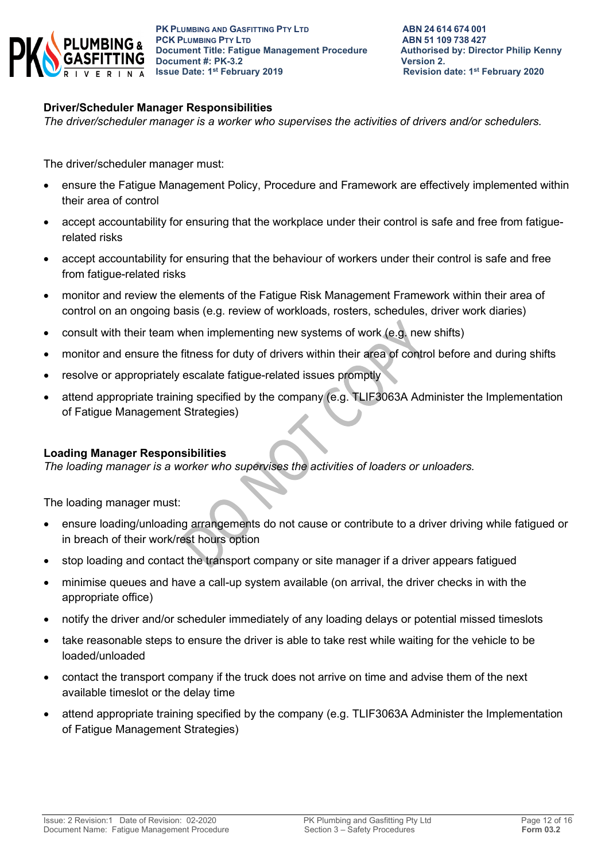

#### **Driver/Scheduler Manager Responsibilities**

*The driver/scheduler manager is a worker who supervises the activities of drivers and/or schedulers.*

The driver/scheduler manager must:

- ensure the Fatigue Management Policy, Procedure and Framework are effectively implemented within their area of control
- accept accountability for ensuring that the workplace under their control is safe and free from fatiguerelated risks
- accept accountability for ensuring that the behaviour of workers under their control is safe and free from fatigue-related risks
- monitor and review the elements of the Fatigue Risk Management Framework within their area of control on an ongoing basis (e.g. review of workloads, rosters, schedules, driver work diaries)
- consult with their team when implementing new systems of work (e.g. new shifts)
- monitor and ensure the fitness for duty of drivers within their area of control before and during shifts
- resolve or appropriately escalate fatigue-related issues promptly
- attend appropriate training specified by the company (e.g. TLIF3063A Administer the Implementation of Fatigue Management Strategies)

#### **Loading Manager Responsibilities**

*The loading manager is a worker who supervises the activities of loaders or unloaders.*

The loading manager must:

- ensure loading/unloading arrangements do not cause or contribute to a driver driving while fatigued or in breach of their work/rest hours option
- stop loading and contact the transport company or site manager if a driver appears fatigued
- minimise queues and have a call-up system available (on arrival, the driver checks in with the appropriate office)
- notify the driver and/or scheduler immediately of any loading delays or potential missed timeslots
- take reasonable steps to ensure the driver is able to take rest while waiting for the vehicle to be loaded/unloaded
- contact the transport company if the truck does not arrive on time and advise them of the next available timeslot or the delay time
- attend appropriate training specified by the company (e.g. TLIF3063A Administer the Implementation of Fatigue Management Strategies)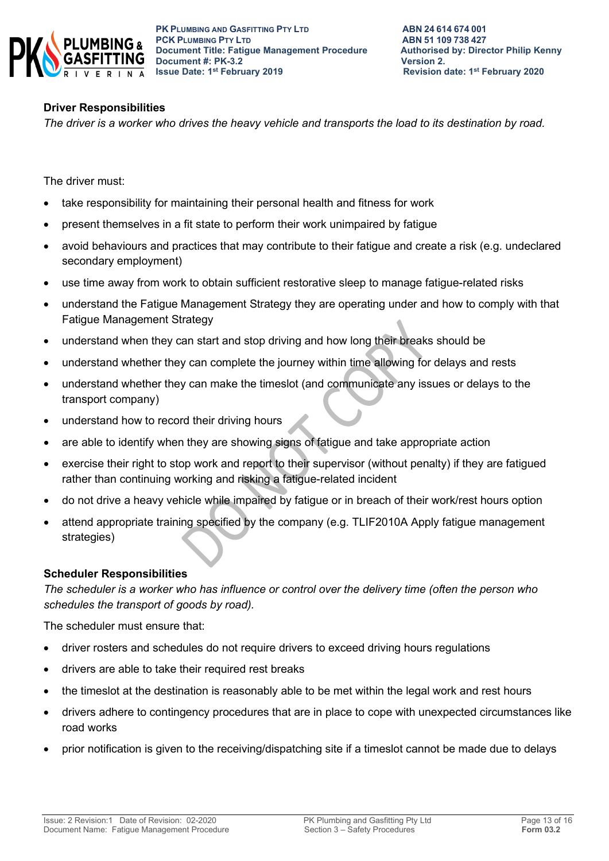

## **Driver Responsibilities**

*The driver is a worker who drives the heavy vehicle and transports the load to its destination by road.*

The driver must:

- take responsibility for maintaining their personal health and fitness for work
- present themselves in a fit state to perform their work unimpaired by fatigue
- avoid behaviours and practices that may contribute to their fatigue and create a risk (e.g. undeclared secondary employment)
- use time away from work to obtain sufficient restorative sleep to manage fatigue-related risks
- understand the Fatigue Management Strategy they are operating under and how to comply with that Fatigue Management Strategy
- understand when they can start and stop driving and how long their breaks should be
- understand whether they can complete the journey within time allowing for delays and rests
- understand whether they can make the timeslot (and communicate any issues or delays to the transport company)
- understand how to record their driving hours
- are able to identify when they are showing signs of fatigue and take appropriate action
- exercise their right to stop work and report to their supervisor (without penalty) if they are fatigued rather than continuing working and risking a fatigue-related incident
- do not drive a heavy vehicle while impaired by fatigue or in breach of their work/rest hours option
- attend appropriate training specified by the company (e.g. TLIF2010A Apply fatigue management strategies)

#### **Scheduler Responsibilities**

*The scheduler is a worker who has influence or control over the delivery time (often the person who schedules the transport of goods by road).*

The scheduler must ensure that:

- driver rosters and schedules do not require drivers to exceed driving hours regulations
- drivers are able to take their required rest breaks
- the timeslot at the destination is reasonably able to be met within the legal work and rest hours
- drivers adhere to contingency procedures that are in place to cope with unexpected circumstances like road works
- prior notification is given to the receiving/dispatching site if a timeslot cannot be made due to delays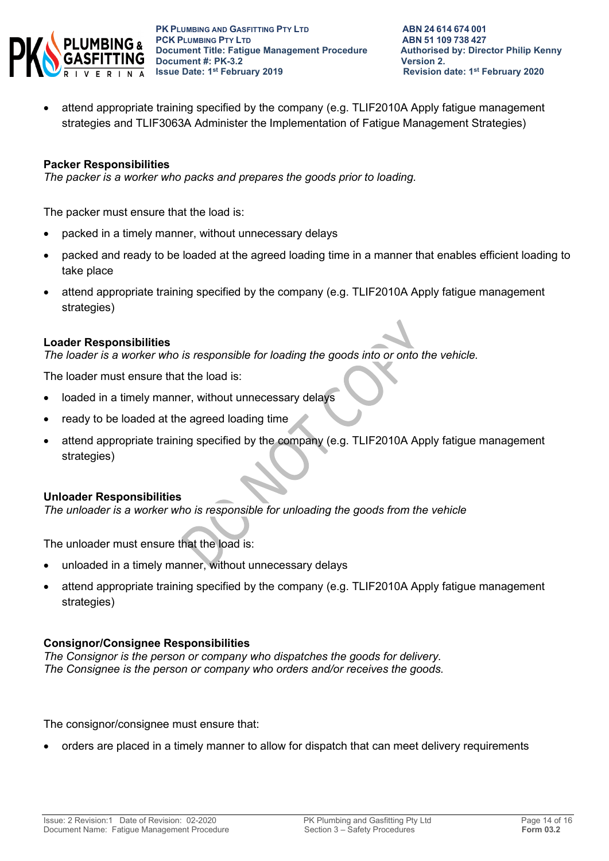

• attend appropriate training specified by the company (e.g. TLIF2010A Apply fatigue management strategies and TLIF3063A Administer the Implementation of Fatigue Management Strategies)

#### **Packer Responsibilities**

*The packer is a worker who packs and prepares the goods prior to loading.*

The packer must ensure that the load is:

- packed in a timely manner, without unnecessary delays
- packed and ready to be loaded at the agreed loading time in a manner that enables efficient loading to take place
- attend appropriate training specified by the company (e.g. TLIF2010A Apply fatigue management strategies)

#### **Loader Responsibilities**

*The loader is a worker who is responsible for loading the goods into or onto the vehicle.*

The loader must ensure that the load is:

- loaded in a timely manner, without unnecessary delays
- ready to be loaded at the agreed loading time
- attend appropriate training specified by the company (e.g. TLIF2010A Apply fatigue management strategies)

#### **Unloader Responsibilities**

*The unloader is a worker who is responsible for unloading the goods from the vehicle*

The unloader must ensure that the load is:

- unloaded in a timely manner, without unnecessary delays
- attend appropriate training specified by the company (e.g. TLIF2010A Apply fatigue management strategies)

## **Consignor/Consignee Responsibilities**

*The Consignor is the person or company who dispatches the goods for delivery. The Consignee is the person or company who orders and/or receives the goods.* 

The consignor/consignee must ensure that:

• orders are placed in a timely manner to allow for dispatch that can meet delivery requirements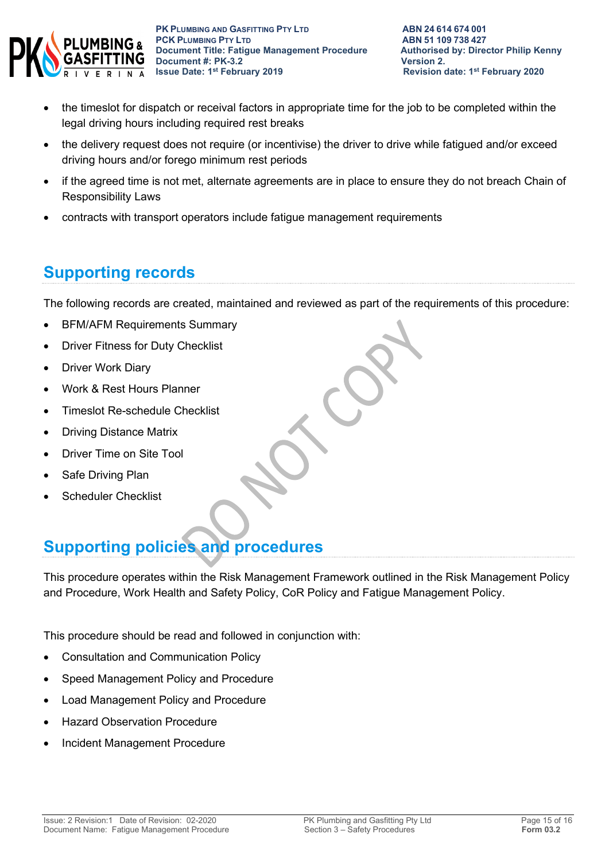

- the timeslot for dispatch or receival factors in appropriate time for the job to be completed within the legal driving hours including required rest breaks
- the delivery request does not require (or incentivise) the driver to drive while fatigued and/or exceed driving hours and/or forego minimum rest periods
- if the agreed time is not met, alternate agreements are in place to ensure they do not breach Chain of Responsibility Laws
- contracts with transport operators include fatigue management requirements

# **Supporting records**

The following records are created, maintained and reviewed as part of the requirements of this procedure:

- BFM/AFM Requirements Summary
- Driver Fitness for Duty Checklist
- Driver Work Diary
- Work & Rest Hours Planner
- Timeslot Re-schedule Checklist
- Driving Distance Matrix
- Driver Time on Site Tool
- Safe Driving Plan
- Scheduler Checklist

# **Supporting policies and procedures**

This procedure operates within the Risk Management Framework outlined in the Risk Management Policy and Procedure, Work Health and Safety Policy, CoR Policy and Fatigue Management Policy.

This procedure should be read and followed in conjunction with:

- Consultation and Communication Policy
- Speed Management Policy and Procedure
- Load Management Policy and Procedure
- Hazard Observation Procedure
- Incident Management Procedure